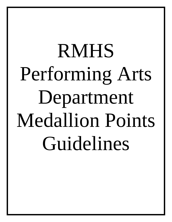# RMHS Performing Arts Department Medallion Points Guidelines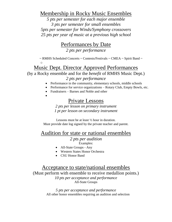### Membership in Rocky Music Ensembles

*5 pts per semester for each major ensemble 3 pts per semester for small ensembles 5pts per semester for Winds/Symphony crossovers 25 pts per year of music at a previous high school*

## Performances by Date

*2 pts per performance*

 $\sim$  RMHS Scheduled Concerts  $\sim$  Contests/Festivals  $\sim$  CMEA  $\sim$  Spirit Band  $\sim$ o

## Music Dept. Director Approved Performances

(by a Rocky ensemble and for the *benefit* of RMHS Music Dept.)

#### *2 pts per performance*

- Performance in the community, elementary schools, middle schools
- Performance for service organizations Rotary Club, Empty Bowls, etc.
- Fundraisers Barnes and Noble and other
- •

# Private Lessons

*2 pts per lesson on primary instrument 1 pt per lesson on secondary instrument*

Lessons must be at least ½ hour in duration. Must provide date log signed by the private teacher and parent.

## Audition for state or national ensembles

#### *2 pts per audition*

Examples:

- All-State Groups Any
- Western States Honor Orchestra
- CSU Honor Band

## Acceptance to state/national ensembles

(Must perform with ensemble to receive medallion points.) *10 pts per acceptance and performance* All-State Groups

> *5 pts per acceptance and performance* All other honor ensembles requiring an audition and selection